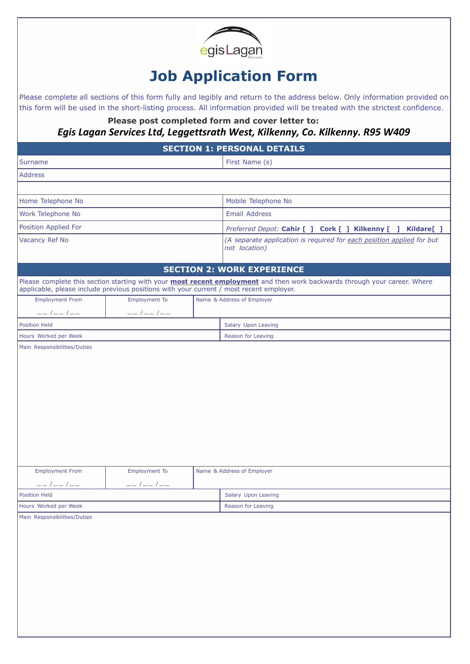

## **Job Application Form**

Please complete all sections of this form fully and legibly and return to the address below. Only information provided on this form will be used in the short-listing process. All information provided will be treated with the strictest confidence.

**Please post completed form and cover letter to:** *Egis Lagan Services Ltd, Leggettsrath West, Kilkenny, Co. Kilkenny. R95 W409*

| <b>SECTION 1: PERSONAL DETAILS</b>                                                      |                       |  |                                                                                                                                  |  |  |
|-----------------------------------------------------------------------------------------|-----------------------|--|----------------------------------------------------------------------------------------------------------------------------------|--|--|
| <b>Surname</b>                                                                          |                       |  | First Name (s)                                                                                                                   |  |  |
| <b>Address</b>                                                                          |                       |  |                                                                                                                                  |  |  |
|                                                                                         |                       |  |                                                                                                                                  |  |  |
| Home Telephone No                                                                       |                       |  | Mobile Telephone No                                                                                                              |  |  |
| Work Telephone No                                                                       |                       |  | <b>Email Address</b>                                                                                                             |  |  |
| Position Applied For                                                                    |                       |  | Preferred Depot: Cahir [ ] Cork [ ] Kilkenny [ ] Kildare[ ]                                                                      |  |  |
| Vacancy Ref No                                                                          |                       |  | (A separate application is required for each position applied for but<br>not location)                                           |  |  |
|                                                                                         |                       |  | <b>SECTION 2: WORK EXPERIENCE</b>                                                                                                |  |  |
| applicable, please include previous positions with your current / most recent employer. |                       |  | Please complete this section starting with your <b>most recent employment</b> and then work backwards through your career. Where |  |  |
| <b>Employment From</b>                                                                  | <b>Employment To</b>  |  | Name & Address of Employer                                                                                                       |  |  |
| $---$ / $---$ / $---$                                                                   | $---$ / $---$ / $---$ |  |                                                                                                                                  |  |  |
| <b>Position Held</b>                                                                    |                       |  | Salary Upon Leaving                                                                                                              |  |  |
| Hours Worked per Week                                                                   |                       |  | Reason for Leaving                                                                                                               |  |  |
|                                                                                         |                       |  |                                                                                                                                  |  |  |
| <b>Employment From</b>                                                                  | <b>Employment To</b>  |  | Name & Address of Employer                                                                                                       |  |  |
| $---$ / $---$ / $---$                                                                   |                       |  |                                                                                                                                  |  |  |
| <b>Position Held</b>                                                                    |                       |  | Salary Upon Leaving                                                                                                              |  |  |
| Hours Worked per Week                                                                   |                       |  | Reason for Leaving                                                                                                               |  |  |
| Main Responsibilities/Duties                                                            |                       |  |                                                                                                                                  |  |  |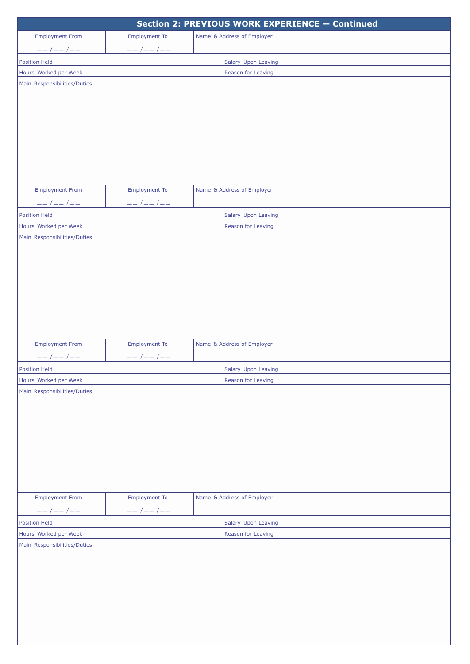| Section 2: PREVIOUS WORK EXPERIENCE - Continued        |                                                        |  |                            |  |
|--------------------------------------------------------|--------------------------------------------------------|--|----------------------------|--|
| <b>Employment From</b>                                 | <b>Employment To</b>                                   |  | Name & Address of Employer |  |
| $\begin{tabular}{c} - - & / - - & / - - \end{tabular}$ | $\begin{tabular}{c} - - & / - - & / - - \end{tabular}$ |  |                            |  |
| <b>Position Held</b>                                   |                                                        |  | Salary Upon Leaving        |  |
| Hours Worked per Week                                  |                                                        |  | Reason for Leaving         |  |
| Main Responsibilities/Duties                           |                                                        |  |                            |  |
|                                                        |                                                        |  |                            |  |
|                                                        |                                                        |  |                            |  |
|                                                        |                                                        |  |                            |  |
|                                                        |                                                        |  |                            |  |
|                                                        |                                                        |  |                            |  |
|                                                        |                                                        |  |                            |  |
|                                                        |                                                        |  |                            |  |
|                                                        |                                                        |  |                            |  |
| <b>Employment From</b>                                 | <b>Employment To</b>                                   |  | Name & Address of Employer |  |
| $---$ / $---$ / $---$                                  | $\begin{tabular}{c} - - & / - - & / - - \end{tabular}$ |  |                            |  |
| <b>Position Held</b>                                   |                                                        |  | Salary Upon Leaving        |  |
| Hours Worked per Week                                  |                                                        |  | Reason for Leaving         |  |
| Main Responsibilities/Duties                           |                                                        |  |                            |  |
|                                                        |                                                        |  |                            |  |
|                                                        |                                                        |  |                            |  |
|                                                        |                                                        |  |                            |  |
|                                                        |                                                        |  |                            |  |
|                                                        |                                                        |  |                            |  |
|                                                        |                                                        |  |                            |  |
|                                                        |                                                        |  |                            |  |
|                                                        |                                                        |  |                            |  |
|                                                        |                                                        |  |                            |  |
| <b>Employment From</b>                                 | <b>Employment To</b>                                   |  | Name & Address of Employer |  |
| $\begin{tabular}{c} - - & / - - & / - - \end{tabular}$ | $--1--1--$                                             |  |                            |  |
| Position Held                                          |                                                        |  | Salary Upon Leaving        |  |
| Hours Worked per Week                                  |                                                        |  | Reason for Leaving         |  |
| Main Responsibilities/Duties                           |                                                        |  |                            |  |
|                                                        |                                                        |  |                            |  |
|                                                        |                                                        |  |                            |  |
|                                                        |                                                        |  |                            |  |
|                                                        |                                                        |  |                            |  |
|                                                        |                                                        |  |                            |  |
|                                                        |                                                        |  |                            |  |
|                                                        |                                                        |  |                            |  |
|                                                        |                                                        |  |                            |  |
| <b>Employment From</b>                                 | <b>Employment To</b>                                   |  | Name & Address of Employer |  |
| $--- / --- / ---$                                      | $\begin{tabular}{c} - - & / - - & / - - \end{tabular}$ |  |                            |  |
| <b>Position Held</b>                                   |                                                        |  | Salary Upon Leaving        |  |
| Hours Worked per Week                                  |                                                        |  | Reason for Leaving         |  |
| Main Responsibilities/Duties                           |                                                        |  |                            |  |
|                                                        |                                                        |  |                            |  |
|                                                        |                                                        |  |                            |  |
|                                                        |                                                        |  |                            |  |
|                                                        |                                                        |  |                            |  |
|                                                        |                                                        |  |                            |  |
|                                                        |                                                        |  |                            |  |
|                                                        |                                                        |  |                            |  |
|                                                        |                                                        |  |                            |  |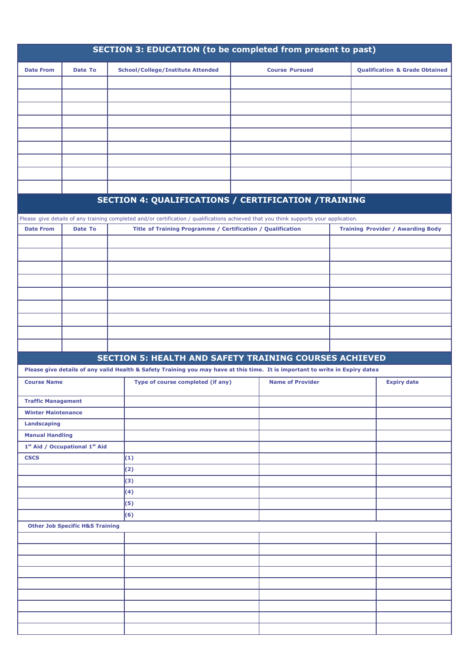| SECTION 3: EDUCATION (to be completed from present to past) |                                                        |                                                                                                                                        |                         |                                           |  |  |
|-------------------------------------------------------------|--------------------------------------------------------|----------------------------------------------------------------------------------------------------------------------------------------|-------------------------|-------------------------------------------|--|--|
| <b>Date From</b>                                            | Date To                                                | <b>School/College/Institute Attended</b>                                                                                               | <b>Course Pursued</b>   | <b>Qualification &amp; Grade Obtained</b> |  |  |
|                                                             |                                                        |                                                                                                                                        |                         |                                           |  |  |
|                                                             |                                                        |                                                                                                                                        |                         |                                           |  |  |
|                                                             |                                                        |                                                                                                                                        |                         |                                           |  |  |
|                                                             |                                                        |                                                                                                                                        |                         |                                           |  |  |
|                                                             |                                                        |                                                                                                                                        |                         |                                           |  |  |
|                                                             |                                                        |                                                                                                                                        |                         |                                           |  |  |
|                                                             |                                                        |                                                                                                                                        |                         |                                           |  |  |
|                                                             |                                                        |                                                                                                                                        |                         |                                           |  |  |
|                                                             |                                                        |                                                                                                                                        |                         |                                           |  |  |
|                                                             |                                                        |                                                                                                                                        |                         |                                           |  |  |
|                                                             |                                                        | SECTION 4: QUALIFICATIONS / CERTIFICATION /TRAINING                                                                                    |                         |                                           |  |  |
|                                                             |                                                        |                                                                                                                                        |                         |                                           |  |  |
|                                                             |                                                        | Please give details of any training completed and/or certification / qualifications achieved that you think supports your application. |                         |                                           |  |  |
| <b>Date From</b>                                            | Date To                                                | Title of Training Programme / Certification / Qualification                                                                            |                         | <b>Training Provider / Awarding Body</b>  |  |  |
|                                                             |                                                        |                                                                                                                                        |                         |                                           |  |  |
|                                                             |                                                        |                                                                                                                                        |                         |                                           |  |  |
|                                                             |                                                        |                                                                                                                                        |                         |                                           |  |  |
|                                                             |                                                        |                                                                                                                                        |                         |                                           |  |  |
|                                                             |                                                        |                                                                                                                                        |                         |                                           |  |  |
|                                                             |                                                        |                                                                                                                                        |                         |                                           |  |  |
|                                                             |                                                        |                                                                                                                                        |                         |                                           |  |  |
|                                                             |                                                        |                                                                                                                                        |                         |                                           |  |  |
|                                                             |                                                        |                                                                                                                                        |                         |                                           |  |  |
|                                                             |                                                        |                                                                                                                                        |                         |                                           |  |  |
|                                                             |                                                        | <b>SECTION 5: HEALTH AND SAFETY TRAINING COURSES ACHIEVED</b>                                                                          |                         |                                           |  |  |
|                                                             |                                                        | Please give details of any valid Health & Safety Training you may have at this time. It is important to write in Expiry dates          |                         |                                           |  |  |
| <b>Course Name</b>                                          |                                                        | Type of course completed (if any)                                                                                                      | <b>Name of Provider</b> | <b>Expiry date</b>                        |  |  |
| <b>Traffic Management</b>                                   |                                                        |                                                                                                                                        |                         |                                           |  |  |
| <b>Winter Maintenance</b>                                   |                                                        |                                                                                                                                        |                         |                                           |  |  |
| Landscaping                                                 |                                                        |                                                                                                                                        |                         |                                           |  |  |
| <b>Manual Handling</b>                                      |                                                        |                                                                                                                                        |                         |                                           |  |  |
|                                                             | 1 <sup>st</sup> Aid / Occupational 1 <sup>st</sup> Aid |                                                                                                                                        |                         |                                           |  |  |
| <b>CSCS</b>                                                 |                                                        | (1)                                                                                                                                    |                         |                                           |  |  |
|                                                             |                                                        | (2)                                                                                                                                    |                         |                                           |  |  |
|                                                             |                                                        | (3)                                                                                                                                    |                         |                                           |  |  |
|                                                             |                                                        | (4)                                                                                                                                    |                         |                                           |  |  |
|                                                             |                                                        | (5)                                                                                                                                    |                         |                                           |  |  |
|                                                             |                                                        | (6)                                                                                                                                    |                         |                                           |  |  |
|                                                             | <b>Other Job Specific H&amp;S Training</b>             |                                                                                                                                        |                         |                                           |  |  |
|                                                             |                                                        |                                                                                                                                        |                         |                                           |  |  |
|                                                             |                                                        |                                                                                                                                        |                         |                                           |  |  |
|                                                             |                                                        |                                                                                                                                        |                         |                                           |  |  |
|                                                             |                                                        |                                                                                                                                        |                         |                                           |  |  |
|                                                             |                                                        |                                                                                                                                        |                         |                                           |  |  |
|                                                             |                                                        |                                                                                                                                        |                         |                                           |  |  |
|                                                             |                                                        |                                                                                                                                        |                         |                                           |  |  |
|                                                             |                                                        |                                                                                                                                        |                         |                                           |  |  |
|                                                             |                                                        |                                                                                                                                        |                         |                                           |  |  |